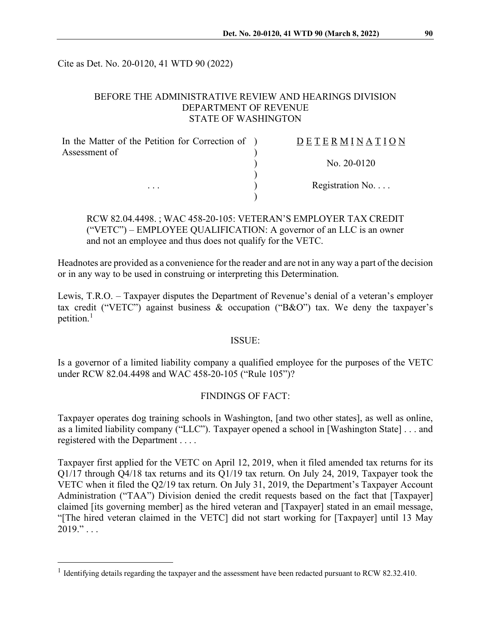Cite as Det. No. 20-0120, 41 WTD 90 (2022)

## BEFORE THE ADMINISTRATIVE REVIEW AND HEARINGS DIVISION DEPARTMENT OF REVENUE STATE OF WASHINGTON

| In the Matter of the Petition for Correction of ) | DETERMINATION            |
|---------------------------------------------------|--------------------------|
| Assessment of                                     |                          |
|                                                   | No. $20-0120$            |
|                                                   |                          |
| $\cdots$                                          | Registration No. $\dots$ |
|                                                   |                          |

# RCW 82.04.4498. ; WAC 458-20-105: VETERAN'S EMPLOYER TAX CREDIT ("VETC") – EMPLOYEE QUALIFICATION: A governor of an LLC is an owner and not an employee and thus does not qualify for the VETC.

Headnotes are provided as a convenience for the reader and are not in any way a part of the decision or in any way to be used in construing or interpreting this Determination.

Lewis, T.R.O. – Taxpayer disputes the Department of Revenue's denial of a veteran's employer tax credit ("VETC") against business  $\&$  occupation ("B $\&$ O") tax. We deny the taxpayer's petition. $<sup>1</sup>$  $<sup>1</sup>$  $<sup>1</sup>$ </sup>

#### ISSUE:

Is a governor of a limited liability company a qualified employee for the purposes of the VETC under RCW 82.04.4498 and WAC 458-20-105 ("Rule 105")?

## FINDINGS OF FACT:

Taxpayer operates dog training schools in Washington, [and two other states], as well as online, as a limited liability company ("LLC"). Taxpayer opened a school in [Washington State] . . . and registered with the Department . . . .

Taxpayer first applied for the VETC on April 12, 2019, when it filed amended tax returns for its Q1/17 through Q4/18 tax returns and its Q1/19 tax return. On July 24, 2019, Taxpayer took the VETC when it filed the Q2/19 tax return. On July 31, 2019, the Department's Taxpayer Account Administration ("TAA") Division denied the credit requests based on the fact that [Taxpayer] claimed [its governing member] as the hired veteran and [Taxpayer] stated in an email message, "[The hired veteran claimed in the VETC] did not start working for [Taxpayer] until 13 May  $2019." \ldots$ 

<span id="page-0-0"></span><sup>&</sup>lt;sup>1</sup> Identifying details regarding the taxpayer and the assessment have been redacted pursuant to RCW 82.32.410.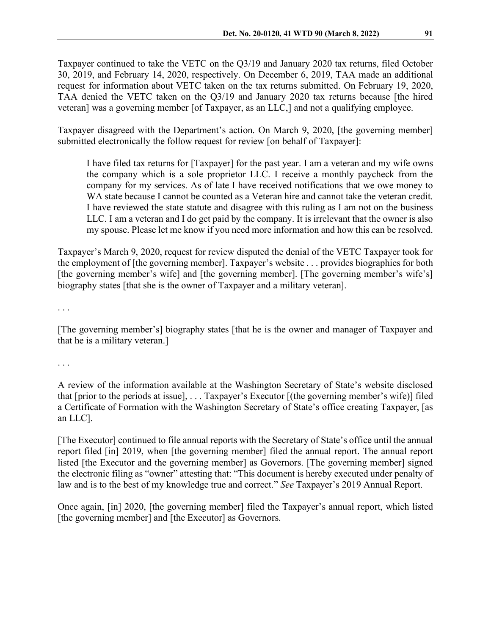Taxpayer continued to take the VETC on the Q3/19 and January 2020 tax returns, filed October 30, 2019, and February 14, 2020, respectively. On December 6, 2019, TAA made an additional request for information about VETC taken on the tax returns submitted. On February 19, 2020, TAA denied the VETC taken on the Q3/19 and January 2020 tax returns because [the hired veteran] was a governing member [of Taxpayer, as an LLC,] and not a qualifying employee.

Taxpayer disagreed with the Department's action. On March 9, 2020, [the governing member] submitted electronically the follow request for review [on behalf of Taxpayer]:

I have filed tax returns for [Taxpayer] for the past year. I am a veteran and my wife owns the company which is a sole proprietor LLC. I receive a monthly paycheck from the company for my services. As of late I have received notifications that we owe money to WA state because I cannot be counted as a Veteran hire and cannot take the veteran credit. I have reviewed the state statute and disagree with this ruling as I am not on the business LLC. I am a veteran and I do get paid by the company. It is irrelevant that the owner is also my spouse. Please let me know if you need more information and how this can be resolved.

Taxpayer's March 9, 2020, request for review disputed the denial of the VETC Taxpayer took for the employment of [the governing member]. Taxpayer's website . . . provides biographies for both [the governing member's wife] and [the governing member]. [The governing member's wife's] biography states [that she is the owner of Taxpayer and a military veteran].

. . .

[The governing member's] biography states [that he is the owner and manager of Taxpayer and that he is a military veteran.]

. . .

A review of the information available at the Washington Secretary of State's website disclosed that [prior to the periods at issue], . . . Taxpayer's Executor [(the governing member's wife)] filed a Certificate of Formation with the Washington Secretary of State's office creating Taxpayer, [as an LLC].

[The Executor] continued to file annual reports with the Secretary of State's office until the annual report filed [in] 2019, when [the governing member] filed the annual report. The annual report listed [the Executor and the governing member] as Governors. [The governing member] signed the electronic filing as "owner" attesting that: "This document is hereby executed under penalty of law and is to the best of my knowledge true and correct." *See* Taxpayer's 2019 Annual Report.

Once again, [in] 2020, [the governing member] filed the Taxpayer's annual report, which listed [the governing member] and [the Executor] as Governors.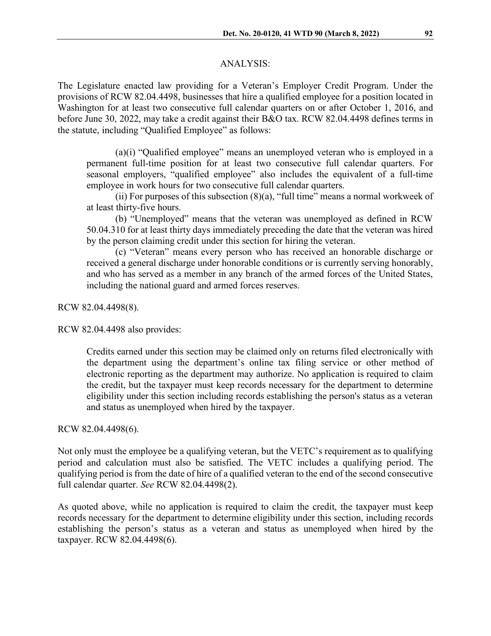#### ANALYSIS:

The Legislature enacted law providing for a Veteran's Employer Credit Program. Under the provisions of RCW 82.04.4498, businesses that hire a qualified employee for a position located in Washington for at least two consecutive full calendar quarters on or after October 1, 2016, and before June 30, 2022, may take a credit against their B&O tax. RCW 82.04.4498 defines terms in the statute, including "Qualified Employee" as follows:

(a)(i) "Qualified employee" means an unemployed veteran who is employed in a permanent full-time position for at least two consecutive full calendar quarters. For seasonal employers, "qualified employee" also includes the equivalent of a full-time employee in work hours for two consecutive full calendar quarters.

(ii) For purposes of this subsection  $(8)(a)$ , "full time" means a normal workweek of at least thirty-five hours.

(b) "Unemployed" means that the veteran was unemployed as defined in RCW 50.04.310 for at least thirty days immediately preceding the date that the veteran was hired by the person claiming credit under this section for hiring the veteran.

(c) "Veteran" means every person who has received an honorable discharge or received a general discharge under honorable conditions or is currently serving honorably, and who has served as a member in any branch of the armed forces of the United States, including the national guard and armed forces reserves.

RCW 82.04.4498(8).

RCW 82.04.4498 also provides:

Credits earned under this section may be claimed only on returns filed electronically with the department using the department's online tax filing service or other method of electronic reporting as the department may authorize. No application is required to claim the credit, but the taxpayer must keep records necessary for the department to determine eligibility under this section including records establishing the person's status as a veteran and status as unemployed when hired by the taxpayer.

## RCW 82.04.4498(6).

Not only must the employee be a qualifying veteran, but the VETC's requirement as to qualifying period and calculation must also be satisfied. The VETC includes a qualifying period. The qualifying period is from the date of hire of a qualified veteran to the end of the second consecutive full calendar quarter. *See* RCW 82.04.4498(2).

As quoted above, while no application is required to claim the credit, the taxpayer must keep records necessary for the department to determine eligibility under this section, including records establishing the person's status as a veteran and status as unemployed when hired by the taxpayer. RCW 82.04.4498(6).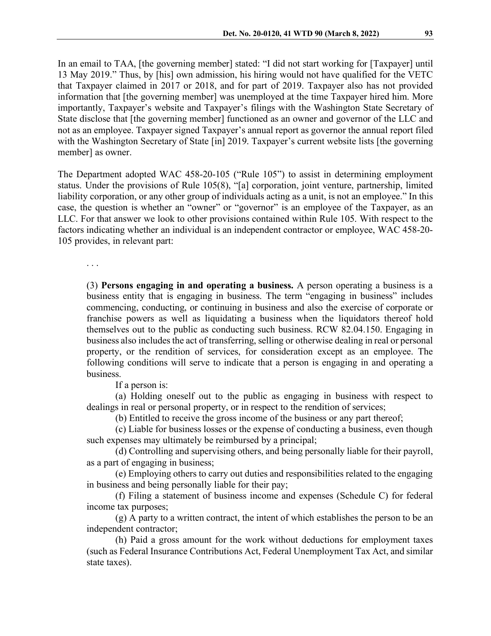In an email to TAA, [the governing member] stated: "I did not start working for [Taxpayer] until 13 May 2019." Thus, by [his] own admission, his hiring would not have qualified for the VETC that Taxpayer claimed in 2017 or 2018, and for part of 2019. Taxpayer also has not provided information that [the governing member] was unemployed at the time Taxpayer hired him. More importantly, Taxpayer's website and Taxpayer's filings with the Washington State Secretary of State disclose that [the governing member] functioned as an owner and governor of the LLC and not as an employee. Taxpayer signed Taxpayer's annual report as governor the annual report filed with the Washington Secretary of State [in] 2019. Taxpayer's current website lists [the governing member] as owner.

The Department adopted WAC 458-20-105 ("Rule 105") to assist in determining employment status. Under the provisions of Rule 105(8), "[a] corporation, joint venture, partnership, limited liability corporation, or any other group of individuals acting as a unit, is not an employee." In this case, the question is whether an "owner" or "governor" is an employee of the Taxpayer, as an LLC. For that answer we look to other provisions contained within Rule 105. With respect to the factors indicating whether an individual is an independent contractor or employee, WAC 458-20- 105 provides, in relevant part:

. . .

(3) **Persons engaging in and operating a business.** A person operating a business is a business entity that is engaging in business. The term "engaging in business" includes commencing, conducting, or continuing in business and also the exercise of corporate or franchise powers as well as liquidating a business when the liquidators thereof hold themselves out to the public as conducting such business. RCW 82.04.150. Engaging in business also includes the act of transferring, selling or otherwise dealing in real or personal property, or the rendition of services, for consideration except as an employee. The following conditions will serve to indicate that a person is engaging in and operating a business.

If a person is:

(a) Holding oneself out to the public as engaging in business with respect to dealings in real or personal property, or in respect to the rendition of services;

(b) Entitled to receive the gross income of the business or any part thereof;

(c) Liable for business losses or the expense of conducting a business, even though such expenses may ultimately be reimbursed by a principal;

(d) Controlling and supervising others, and being personally liable for their payroll, as a part of engaging in business;

(e) Employing others to carry out duties and responsibilities related to the engaging in business and being personally liable for their pay;

(f) Filing a statement of business income and expenses (Schedule C) for federal income tax purposes;

(g) A party to a written contract, the intent of which establishes the person to be an independent contractor;

(h) Paid a gross amount for the work without deductions for employment taxes (such as Federal Insurance Contributions Act, Federal Unemployment Tax Act, and similar state taxes).